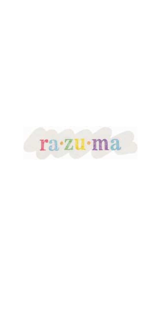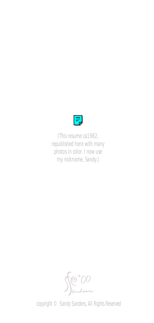

*(This resume ca1982, republished here with many photos in color. I now use my nickname, Sandy.)*

Me "00

copyright © Sandy Sanders, All Rights Reserved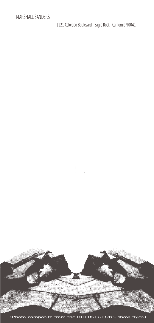1121 Colorado Boulevard Eagle Rock California 90041

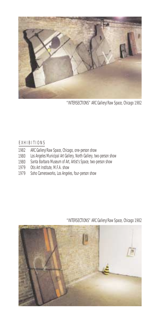

"INTERSECTIONS" ARC Gallery/Raw Space, Chicago 1982

#### E X H I B I T I ON S

- 1982 ARC Gallery/Raw Space, Chicago, one-person show
- 1980 Los Angeles Municipal Art Gallery, North Gallery, two-person show
- 1980 Santa Barbara Museum of Art, Artist's Space, two-person show
- 1979 Otis Art Institute, M.F.A. show
- 1979 Soho Cameraworks, Los Angeles, four-person show

"INTERSECTIONS" ARC Gallery/Raw Space, Chicago 1982

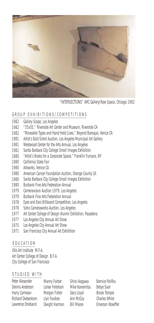

"INTERSECTIONS" ARC Gallery/Raw Space, Chicago 1982

# GROUP EXHIBITIONS/COMPETITIONS

- 1982 Gallery Scope, Los Angeles
- 1982 "35x35," Riverside Art Center and Museum, Riverside CA
- 1982 "Moveable Types and Hand Held Lives," Beyond Baroque, Venice CA
- 1981 Artist's Ball/Silent Auction, Los Angeles Municipal Art Gallery
- 1981 Westwood Center for the Arts Annual, Los Angeles
- 1981 Santa Barbara City College Small Images Exhibition
- 1980 "Artist's Books for a Corporate Space," Franklin Furnace, NY
- 1980 California State Fair
- 1980 Artworks, Venice CA
- 1980 American Cancer Foundation Auction, Orange County CA
- 1980 Santa Barbara City College Small Images Exhibition
- 1980 Burbank Fine Arts Federation Annual
- 1979 Cameravision Auction 1979, Los Angeles
- 1979 Burbank Fine Arts Federation Annual
- 1978 Eyes and Ears Billboard Competition, Los Angeles
- 1978 Soho Cameraworks Auction, Los Angeles
- 1977 Art Center College of Design Alumni Exhibition, Pasadena
- 1977 Los Angeles City Annual Art Show
- 1975 Los Angeles City Annual Art Show
- 1971 San Francisco City Annual Art Exhibition

# E D U C A T I O N

Otis Art Institute M.F.A. Art Center College of Design B.F.A. City College of San Francisco

# STUDIED WITH

| Peter Alexander    | Manny Farber     | Shiro Ikegawa     | Bernice Polifka         |
|--------------------|------------------|-------------------|-------------------------|
| Dennis Anderson    | Lorser Feitelson | Mike Kanemitsu    | Betye Saar              |
| Harry Carmean      | Morgan Fisher    | Gary Lloyd        | <b>Brook Temple</b>     |
| Richard Diebenkorn | Llyn Foulkes     | Ann McCoy         | <b>Charles White</b>    |
| Lawrence Drieband  | Dwight Harmon    | <b>Bill Moore</b> | <b>Emerson Woelffer</b> |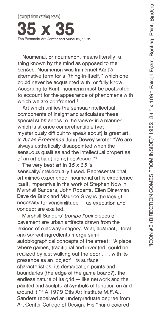(excerpt from catalog essay) The Riverside Art Center and Museum 1982

Noumenal, or noumenon, means literally, a thing known by the mind as opposed to the senses. Noumenon was Immanuel Kant's alternative term for a "thing-in-itself." which one could never be acquainted with, or fully know. According to Kant, noumena must be postulated to account for the appearance of phenomena with which we are confronted.<sup>3</sup>

Art which unifies the sensual/intellectual components of insight and articulates these special substances to the viewer in a manner which is at once comprehensible (yet mysteriously difficult to speak about) is great art. In Art as Experience John Dewey wrote: "We are always esthetically disappointed when the sensuous qualities and the intellectual properties of an art object do not coalesce."<sup>4</sup>

The very best art in  $35 \times 35$  is sensually/intellectually fused. Representational art mimes experience; noumenal art is experience itself. Imperative in the work of Stephen Nowlin. Marshall Sanders, John Roberts, Ellen Dinerman. Dave de Buck and Maurice Gray is the lack of necessity for verisimilitude - as execution and concept are exalted.

Marshall Sanders' trompe l'oeil pieces of pavement are urban artifacts drawn from the lexicon of roadway imagery. Vital, abstract, literal and surreal ingredients merge semiautobiographical concepts of the street: "A place where games, traditional and invented, could be realized by just walking out the door . . . with its presence as an 'object', its surface characteristics, its demarcation points and boundaries (the edge of the game board?), the endless nature of its grid - like network and the painted and sculptural symbols of function on and around it."<sup>5</sup> A 1979 Otis Art Institute M.F.A., Sanders received an undergraduate degree from Art Center College of Design. His "hand-colored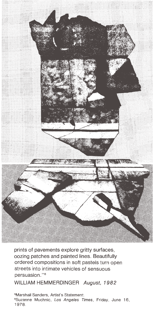

prints of pavements explore gritty surfaces, oozing patches and painted lines. Beautifully ordered compositions in soft pastels turn open streets into intimate vehicles of sensuous persuasion."<sup>6</sup>

WILLIAM HEMMERDINGER August, 1982

<sup>5</sup>Marshall Sanders, Artist's Statement. <sup>6</sup>Suzanne Muchnic, Los Angeles Times, Friday, June 16, 1978.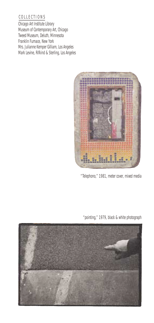# C O L L E C T I O N S

Chicago Art Institute Library Museum of Contemporary Art, Chicago Tweed Museum, Deluth, Minnesota Franklin Furnace, New York Mrs. Julianne Kemper Gilliam, Los Angeles Mark Levine, Rifkind & Sterling, Los Angeles



"Telephono," 1981, meter cover, mixed media

"pointing," 1979, black & white photograph

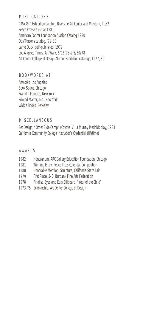#### P U B L I C A T I O N S

"35x35," Exhibition catalog, Riverside Art Center and Museum, 1982 Peace Press Calendar 1981 American Cancer Foundation Auction Catalog 1980 Otis/Parsons catalog, '79-80 Lame Duck, self-published, 1979 Los Angeles Times, Art Walk, 6/16/78 & 6/30/78 Art Center College of Design Alumni Exhibition catalogs, 1977, 80

#### B O O K W O R K S A T

Artworks, Los Angeles Book Space, Chicago Franklin Furnace, New York Printed Matter, Inc., New York Wick's Books, Berkeley

# M I S C E L L A N E O U S

Set Design, "Other Side Camp" (Coyote IV), a Murray Mednick play, 1981 California Community College Instructor's Credential (lifetime)

#### A W A R D S

| 1982 | Honorarium, ARC Gallery Education Foundation, Chicago  |
|------|--------------------------------------------------------|
| 1981 | Winning Entry, Peace Press Calendar Competition        |
| 1980 | Honorable Mention, Sculpture, California State Fair    |
| 1979 | First Place, 3-D. Burbank Fine Arts Federation         |
| 1978 | Finalist, Eyes and Ears Billboard, "Year of the Child" |
|      | 1973-75 Scholarship, Art Center College of Design      |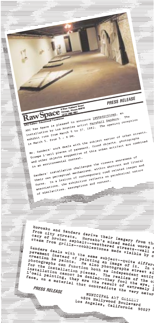PRESS RELEASE Raw Space Commissions borid ARC Raw Space is pleased to announce INTERSECTIONS, an thetallation by Los Angeles artist Marshall Sanders. The ARC Gallery / Educational Foundation anstallation by Los Angeles artist margingle pandels. The<br>Installation by Los Angeles artist margingle The opening reception Mr. Sanders' work deals with the subject matter of urban streets. is March 5, from 5 - 8 pM. Trompe L'oeil pieces of pavement, found objects, photographs and other objects suggestive of this urban artifact are combined<br>and other objects suggestive of this urban artifact are combined Sanders' installation challenges the viewers awareness of in an environmental context. beling own perceptual mechanisms, within abstract and literal forms. In a lexicon of contemporary road related images and associations, the exhibition reflects on paradoxical nature of similarities, assumptions and context. Horosko and Sanders derive their imagery from the norosko ang Sangers derive their imagery from city streets. Horosko's mixed media wom the<br>cacy of broken asphalt--weathered media works s<br>steam from grills--cobblestones made wisible by c Sanders deals with the same subject--quite differention he paints. He also photographs street si Diseaseby as Farance, as also Favous and photographs can function both as independent entity Fuorographs can runction sorn as independent entity<br>installation cannot be denied-the realism of the oil<br>face. On a material that they foul the oil of the oil<br>face. On a material that contradions the extremely r come resulterial that contradicts the very nature MUNICIPAL ART GALLERY 4804 Hollywood Boulevard Los Angeles, California 90027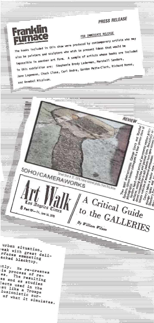PRESS RELEASE

 $\begin{pmatrix} \sum\limits_{i=1}^{n} \sum\limits_{j=1}^{n} \sum\limits_{j=1}^{n} \sum\limits_{j=1}^{n} \sum\limits_{j=1}^{n} \sum\limits_{j=1}^{n} \sum\limits_{j=1}^{n} \sum\limits_{j=1}^{n} \sum\limits_{j=1}^{n} \sum\limits_{j=1}^{n} \sum\limits_{j=1}^{n} \sum\limits_{j=1}^{n} \sum\limits_{j=1}^{n} \sum\limits_{j=1}^{n} \sum\limits_{j=1}^{n} \sum\limits_{j=1}^{n} \sum\limits_{j=1}^{n} \sum\limits_{j=1}^{$ 

 $A$  Critical Guide

to the GALLERIES

REVIEW



# FOR INNEDIATE RELEASE

The books included in this show were produced by contemporary artists who may also be painters and sculptors who wish to present ideas that would be impossible in another art form. A sample of artists whose books are included in this exhibition are: Stephanie Brody Lederman, Marshall Sanders, Jane Logemann, Chuck Close, Carl Andre, Gordon Matta-Clark, Richard Nonas, and Annebel Nicolson.

urban situation, eak with great delirfaces emanating acked blacktop.

SOHO/CAMERAWORKS

Tos Angeles Cimes **6** Part IV ---  $F_{f1}$ , June 16, 1978

Street Shot #37, 1979, hand-colored photo, from this show

By William Wilson

<sup>itly.</sup> He re-creates is process of re-The resulting <sup>es and as studies</sup> lects used in the ist like a Trompe lusionistic surof what it simulates.